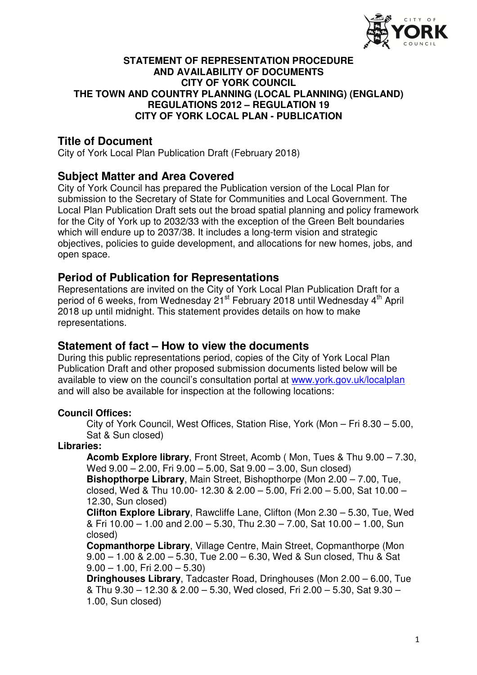

#### **STATEMENT OF REPRESENTATION PROCEDURE AND AVAILABILITY OF DOCUMENTS CITY OF YORK COUNCIL THE TOWN AND COUNTRY PLANNING (LOCAL PLANNING) (ENGLAND) REGULATIONS 2012 – REGULATION 19 CITY OF YORK LOCAL PLAN - PUBLICATION**

## **Title of Document**

City of York Local Plan Publication Draft (February 2018)

## **Subject Matter and Area Covered**

City of York Council has prepared the Publication version of the Local Plan for submission to the Secretary of State for Communities and Local Government. The Local Plan Publication Draft sets out the broad spatial planning and policy framework for the City of York up to 2032/33 with the exception of the Green Belt boundaries which will endure up to 2037/38. It includes a long-term vision and strategic objectives, policies to guide development, and allocations for new homes, jobs, and open space.

## **Period of Publication for Representations**

Representations are invited on the City of York Local Plan Publication Draft for a period of 6 weeks, from Wednesday 21<sup>st</sup> February 2018 until Wednesday 4<sup>th</sup> April 2018 up until midnight. This statement provides details on how to make representations.

## **Statement of fact – How to view the documents**

During this public representations period, copies of the City of York Local Plan Publication Draft and other proposed submission documents listed below will be available to view on the council's consultation portal at www.york.gov.uk/localplan and will also be available for inspection at the following locations:

#### **Council Offices:**

City of York Council, West Offices, Station Rise, York (Mon – Fri 8.30 – 5.00, Sat & Sun closed)

#### **Libraries:**

**Acomb Explore library**, Front Street, Acomb ( Mon, Tues & Thu 9.00 – 7.30, Wed 9.00 – 2.00, Fri 9.00 – 5.00, Sat 9.00 – 3.00, Sun closed)

**Bishopthorpe Library**, Main Street, Bishopthorpe (Mon 2.00 – 7.00, Tue, closed, Wed & Thu 10.00- 12.30 & 2.00 – 5.00, Fri 2.00 – 5.00, Sat 10.00 – 12.30, Sun closed)

**Clifton Explore Library**, Rawcliffe Lane, Clifton (Mon 2.30 – 5.30, Tue, Wed & Fri 10.00 – 1.00 and 2.00 – 5.30, Thu 2.30 – 7.00, Sat 10.00 – 1.00, Sun closed)

**Copmanthorpe Library**, Village Centre, Main Street, Copmanthorpe (Mon 9.00 – 1.00 & 2.00 – 5.30, Tue 2.00 – 6.30, Wed & Sun closed, Thu & Sat  $9.00 - 1.00$ , Fri  $2.00 - 5.30$ 

**Dringhouses Library**, Tadcaster Road, Dringhouses (Mon 2.00 – 6.00, Tue & Thu 9.30 – 12.30 & 2.00 – 5.30, Wed closed, Fri 2.00 – 5.30, Sat 9.30 – 1.00, Sun closed)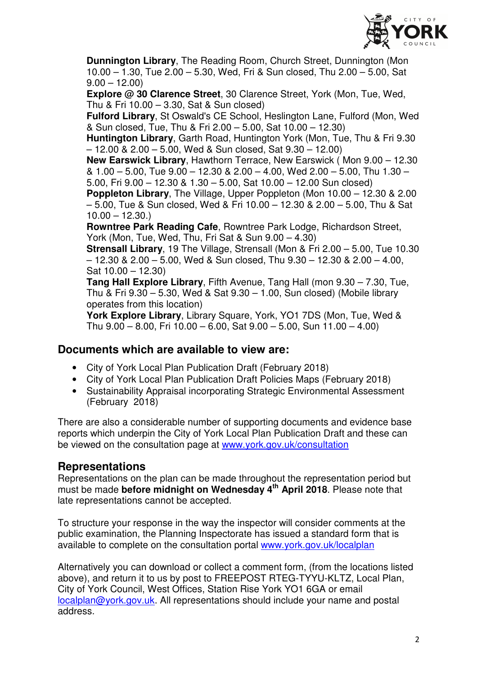

**Dunnington Library**, The Reading Room, Church Street, Dunnington (Mon 10.00 – 1.30, Tue 2.00 – 5.30, Wed, Fri & Sun closed, Thu 2.00 – 5.00, Sat  $9.00 - 12.00$ 

**Explore @ 30 Clarence Street**, 30 Clarence Street, York (Mon, Tue, Wed, Thu & Fri 10.00 – 3.30, Sat & Sun closed)

**Fulford Library**, St Oswald's CE School, Heslington Lane, Fulford (Mon, Wed & Sun closed, Tue, Thu & Fri 2.00 – 5.00, Sat 10.00 – 12.30)

**Huntington Library**, Garth Road, Huntington York (Mon, Tue, Thu & Fri 9.30 – 12.00 & 2.00 – 5.00, Wed & Sun closed, Sat 9.30 – 12.00)

**New Earswick Library**, Hawthorn Terrace, New Earswick ( Mon 9.00 – 12.30 & 1.00 – 5.00, Tue 9.00 – 12.30 & 2.00 – 4.00, Wed 2.00 – 5.00, Thu 1.30 – 5.00, Fri 9.00 – 12.30 & 1.30 – 5.00, Sat 10.00 – 12.00 Sun closed)

**Poppleton Library**, The Village, Upper Poppleton (Mon 10.00 – 12.30 & 2.00 – 5.00, Tue & Sun closed, Wed & Fri 10.00 – 12.30 & 2.00 – 5.00, Thu & Sat  $10.00 - 12.30.$ 

**Rowntree Park Reading Cafe**, Rowntree Park Lodge, Richardson Street, York (Mon, Tue, Wed, Thu, Fri Sat & Sun 9.00 – 4.30)

**Strensall Library**, 19 The Village, Strensall (Mon & Fri 2.00 – 5.00, Tue 10.30 – 12.30 & 2.00 – 5.00, Wed & Sun closed, Thu 9.30 – 12.30 & 2.00 – 4.00, Sat 10.00 – 12.30)

**Tang Hall Explore Library**, Fifth Avenue, Tang Hall (mon 9.30 – 7.30, Tue, Thu & Fri 9.30 – 5.30, Wed & Sat 9.30 – 1.00, Sun closed) (Mobile library operates from this location)

**York Explore Library**, Library Square, York, YO1 7DS (Mon, Tue, Wed & Thu 9.00 – 8.00, Fri 10.00 – 6.00, Sat 9.00 – 5.00, Sun 11.00 – 4.00)

## **Documents which are available to view are:**

- City of York Local Plan Publication Draft (February 2018)
- City of York Local Plan Publication Draft Policies Maps (February 2018)
- Sustainability Appraisal incorporating Strategic Environmental Assessment (February 2018)

There are also a considerable number of supporting documents and evidence base reports which underpin the City of York Local Plan Publication Draft and these can be viewed on the consultation page at www.york.gov.uk/consultation

# **Representations**

Representations on the plan can be made throughout the representation period but must be made **before midnight on Wednesday 4th April 2018**. Please note that late representations cannot be accepted.

To structure your response in the way the inspector will consider comments at the public examination, the Planning Inspectorate has issued a standard form that is available to complete on the consultation portal www.york.gov.uk/localplan

Alternatively you can download or collect a comment form, (from the locations listed above), and return it to us by post to FREEPOST RTEG-TYYU-KLTZ, Local Plan, City of York Council, West Offices, Station Rise York YO1 6GA or email localplan@york.gov.uk. All representations should include your name and postal address.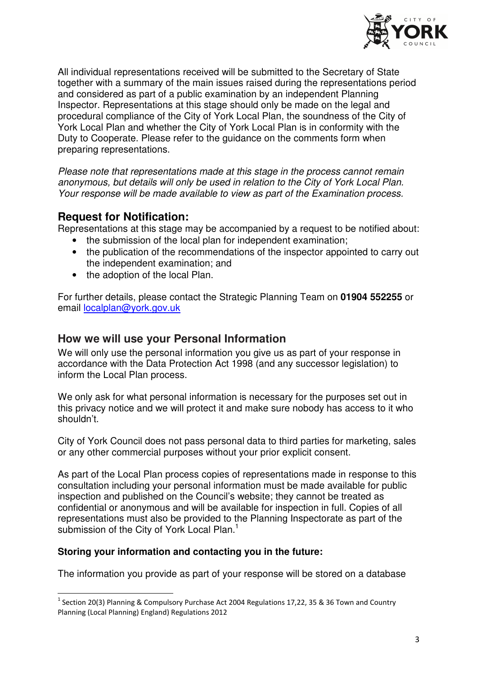

All individual representations received will be submitted to the Secretary of State together with a summary of the main issues raised during the representations period and considered as part of a public examination by an independent Planning Inspector. Representations at this stage should only be made on the legal and procedural compliance of the City of York Local Plan, the soundness of the City of York Local Plan and whether the City of York Local Plan is in conformity with the Duty to Cooperate. Please refer to the guidance on the comments form when preparing representations.

Please note that representations made at this stage in the process cannot remain anonymous, but details will only be used in relation to the City of York Local Plan. Your response will be made available to view as part of the Examination process.

## **Request for Notification:**

l

Representations at this stage may be accompanied by a request to be notified about:

- the submission of the local plan for independent examination;
- the publication of the recommendations of the inspector appointed to carry out the independent examination; and
- the adoption of the local Plan.

For further details, please contact the Strategic Planning Team on **01904 552255** or email localplan@york.gov.uk

### **How we will use your Personal Information**

We will only use the personal information you give us as part of your response in accordance with the Data Protection Act 1998 (and any successor legislation) to inform the Local Plan process.

We only ask for what personal information is necessary for the purposes set out in this privacy notice and we will protect it and make sure nobody has access to it who shouldn't.

City of York Council does not pass personal data to third parties for marketing, sales or any other commercial purposes without your prior explicit consent.

As part of the Local Plan process copies of representations made in response to this consultation including your personal information must be made available for public inspection and published on the Council's website; they cannot be treated as confidential or anonymous and will be available for inspection in full. Copies of all representations must also be provided to the Planning Inspectorate as part of the submission of the City of York Local Plan.<sup>1</sup>

#### **Storing your information and contacting you in the future:**

The information you provide as part of your response will be stored on a database

<sup>&</sup>lt;sup>1</sup> Section 20(3) Planning & Compulsory Purchase Act 2004 Regulations 17,22, 35 & 36 Town and Country Planning (Local Planning) England) Regulations 2012